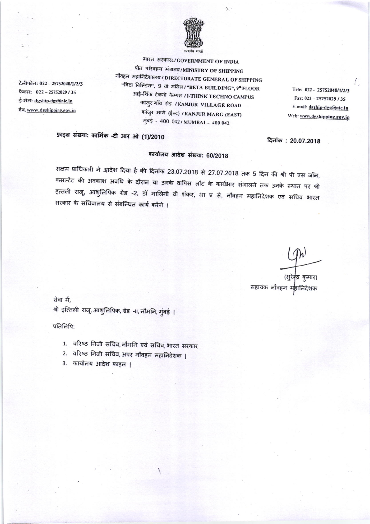

भारत सरकार: / GOVERNMENT OF INDIA पोत परिवहन मंत्रातय/MINISTRY OF SHIPPING नौवहन महानिदेशालय / DIRECTORATE GENERAL OF SHIPPING "बिटा बिल्डिंग", 9 वी मंजित/"BETA BUILDING", 9ª FLOOR आई-थिंक टेक्नो कैम्पस / I-THINK TECHNO CAMPUS कांजुर गाँव रोड / KANJUR VILLAGE ROAD कांजुर मार्ग (ईस्ट) / KANJUR MARG (EAST) मुंबई - 400 042/MUMBAI - 400 042

Tele: 022 - 25752040/1/2/3 Fax: 022-25752029/35 E-mail: dgship-dgs@nic.in Web: www.dgshipping.gov.in

## फ़ाइल संख्या: कार्मिक -टी आर ओ (1)/2010

#### कार्यालय आदेश संख्या: 60/2018

सक्षम प्राधिकारी ने आदेश दिया है की दिनांक 23.07.2018 से 27.07.2018 तक 5 दिन की श्री पी एस जॉन, कंसल्टेंट की अवकाश अवधि के दौरान या उनके वापिस लौट के कार्यभार संभालने तक उनके स्थान पर श्री इत्तली राजू, आशुलिपिक ग्रेड -2, डॉ मालिनी वी शंकर, भा प्र से, नौवहन महानिदेशक एवं सचिव भारत सरकार के सचिवालय से संबन्धित कार्य करेंगे ।

(सुरेक्द्र कुमार) सहायक नौवहन महानिदेशक

दिनांक: 20.07.2018

सेवा में, श्री इत्तिली राजू, आशुलिपिक, ग्रेड -II, नौमनि, मुंबई |

प्रतिलिपि:

टेलीफोन: 022 - 25752040/1/2/3

फैक्स: 022-25752029/35

ई-मेल: dgship-dgs@nic.in

वेब: www.dgshipping.gov.in

- 1. वरिष्ठ निजी सचिव, नौमनि एवं सचिव, भारत सरकार
- 2. वरिष्ठ निजी सचिव, अपर नौवहन महानिदेशक |
- 3. कार्यालय आदेश फाइल |